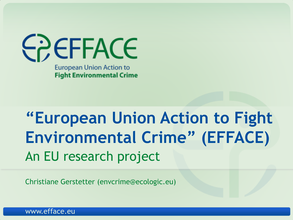

## **"European Union Action to Fight Environmental Crime" (EFFACE)** An EU research project

Christiane Gerstetter (envcrime@ecologic.eu)

www.efface.eu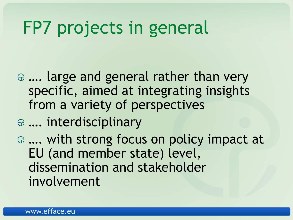# FP7 projects in general

- …. large and general rather than very specific, aimed at integrating insights from a variety of perspectives
- …. interdisciplinary
- …. with strong focus on policy impact at EU (and member state) level, dissemination and stakeholder involvement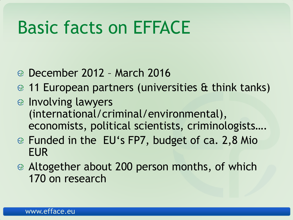# Basic facts on EFFACE

- December 2012 March 2016
- 11 European partners (universities & think tanks)
- $\circledast$  Involving lawyers (international/criminal/environmental), economists, political scientists, criminologists….
- Funded in the EU's FP7, budget of ca. 2,8 Mio EUR
- Altogether about 200 person months, of which 170 on research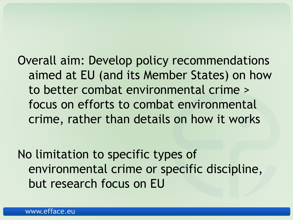Overall aim: Develop policy recommendations aimed at EU (and its Member States) on how to better combat environmental crime > focus on efforts to combat environmental crime, rather than details on how it works

No limitation to specific types of environmental crime or specific discipline, but research focus on EU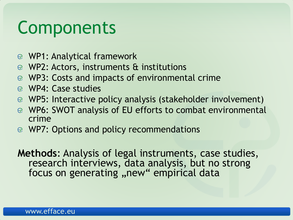# Components

- WP1: Analytical framework
- WP2: Actors, instruments & institutions
- WP3: Costs and impacts of environmental crime
- WP4: Case studies
- WP5: Interactive policy analysis (stakeholder involvement)
- WP6: SWOT analysis of EU efforts to combat environmental crime
- WP7: Options and policy recommendations

**Methods**: Analysis of legal instruments, case studies, research interviews, data analysis, but no strong focus on generating, new" empirical data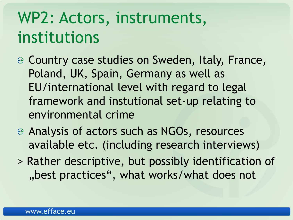## WP2: Actors, instruments, institutions

- Country case studies on Sweden, Italy, France, Poland, UK, Spain, Germany as well as EU/international level with regard to legal framework and instutional set-up relating to environmental crime
- Analysis of actors such as NGOs, resources available etc. (including research interviews)
- > Rather descriptive, but possibly identification of "best practices", what works/what does not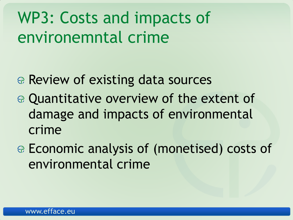## WP3: Costs and impacts of environemntal crime

- Review of existing data sources
- Quantitative overview of the extent of damage and impacts of environmental crime
- Economic analysis of (monetised) costs of environmental crime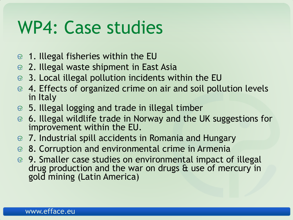# WP4: Case studies

- 1. Illegal fisheries within the EU
- 2. Illegal waste shipment in East Asia
- 3. Local illegal pollution incidents within the EU <u>ද</u>ු
- 4. Effects of organized crime on air and soil pollution levels in Italy
- 5. Illegal logging and trade in illegal timber
- 6. Illegal wildlife trade in Norway and the UK suggestions for improvement within the EU.
- 7. Industrial spill accidents in Romania and Hungary
- <sup>●</sup> 8. Corruption and environmental crime in Armenia
- 9. Smaller case studies on environmental impact of illegal drug production and the war on drugs & use of mercury in gold mining (Latin America)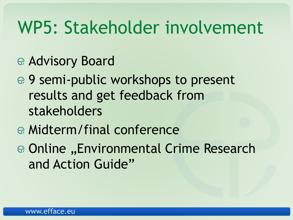## WP5: Stakeholder involvement

- Advisory Board
- ⊕ 9 semi-public workshops to present results and get feedback from stakeholders
- Midterm/final conference
- ⊕ Online "Environmental Crime Research and Action Guide"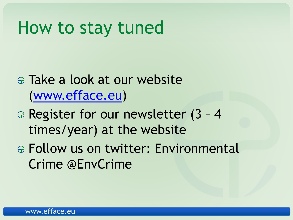## How to stay tuned

- Take a look at our website ([www.efface.eu](http://www.efface.eu/))
- Register for our newsletter (3 4 times/year) at the website
- Follow us on twitter: Environmental Crime @EnvCrime